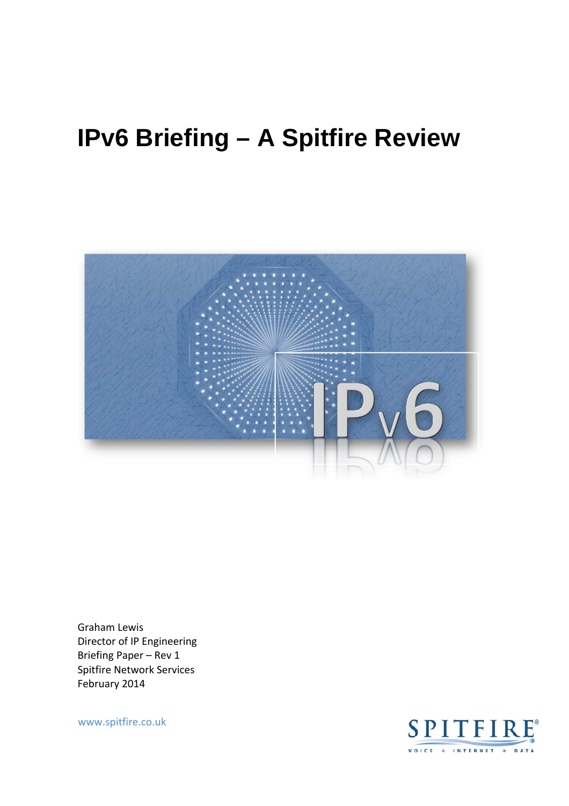# **IPv6 Briefing – A Spitfire Review**



Graham Lewis Director of IP Engineering Briefing Paper – Rev 1 Spitfire Network Services February 2014

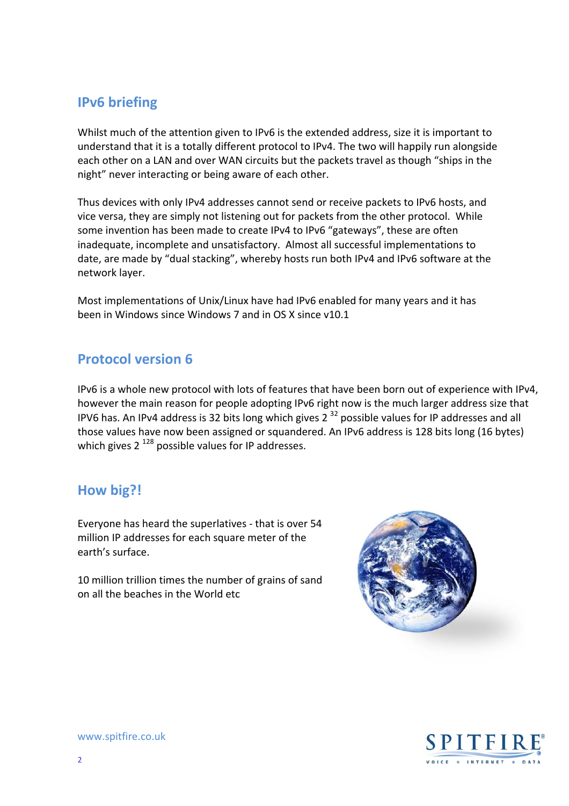## **IPv6 briefing**

Whilst much of the attention given to IPv6 is the extended address, size it is important to understand that it is a totally different protocol to IPv4. The two will happily run alongside each other on a LAN and over WAN circuits but the packets travel as though "ships in the night" never interacting or being aware of each other.

Thus devices with only IPv4 addresses cannot send or receive packets to IPv6 hosts, and vice versa, they are simply not listening out for packets from the other protocol. While some invention has been made to create IPv4 to IPv6 "gateways", these are often inadequate, incomplete and unsatisfactory. Almost all successful implementations to date, are made by "dual stacking", whereby hosts run both IPv4 and IPv6 software at the network layer.

Most implementations of Unix/Linux have had IPv6 enabled for many years and it has been in Windows since Windows 7 and in OS X since v10.1

#### **Protocol version 6**

IPv6 is a whole new protocol with lots of features that have been born out of experience with IPv4, however the main reason for people adopting IPv6 right now is the much larger address size that IPV6 has. An IPv4 address is 32 bits long which gives  $2^{32}$  possible values for IP addresses and all those values have now been assigned or squandered. An IPv6 address is 128 bits long (16 bytes) which gives  $2^{128}$  possible values for IP addresses.

### **How big?!**

Everyone has heard the superlatives ‐ that is over 54 million IP addresses for each square meter of the earth's surface.

10 million trillion times the number of grains of sand on all the beaches in the World etc



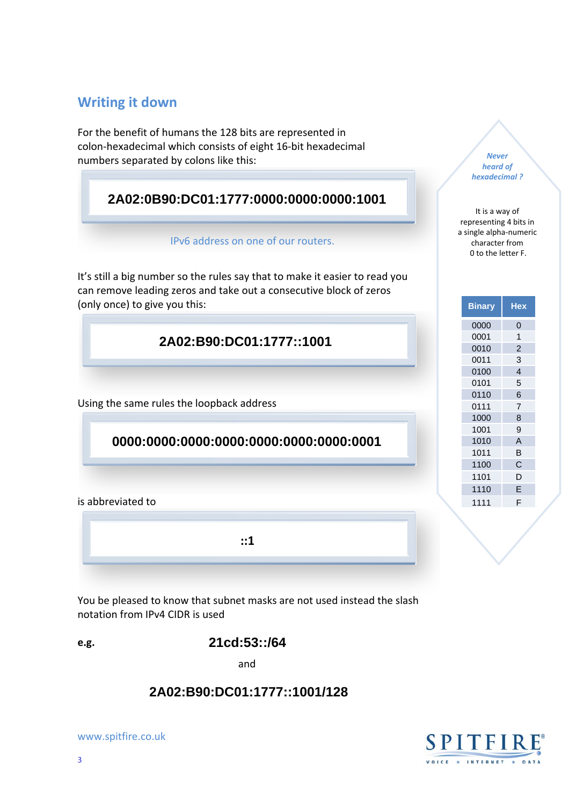#### **Writing it down**

For the benefit of humans the 128 bits are represented in colon‐hexadecimal which consists of eight 16‐bit hexadecimal numbers separated by colons like this:

#### **2A02:0B90:DC01:1777:0000:0000:0000:1001**

#### IPv6 address on one of our routers.

It's still a big number so the rules say that to make it easier to read you can remove leading zeros and take out a consecutive block of zeros (only once) to give you this:

**2A02:B90:DC01:1777::1001** 

Using the same rules the loopback address

#### **0000:0000:0000:0000:0000:0000:0000:0001**

is abbreviated to

**::1**

You be pleased to know that subnet masks are not used instead the slash notation from IPv4 CIDR is used

**21cd:53::/64**

and

# **2A02:B90:DC01:1777::1001/128**





**?** *hexadecimal ?* It is a way of representing 4 bits in a single alpha‐numeric

character from

*Never heard of* 

character from



**e.g.**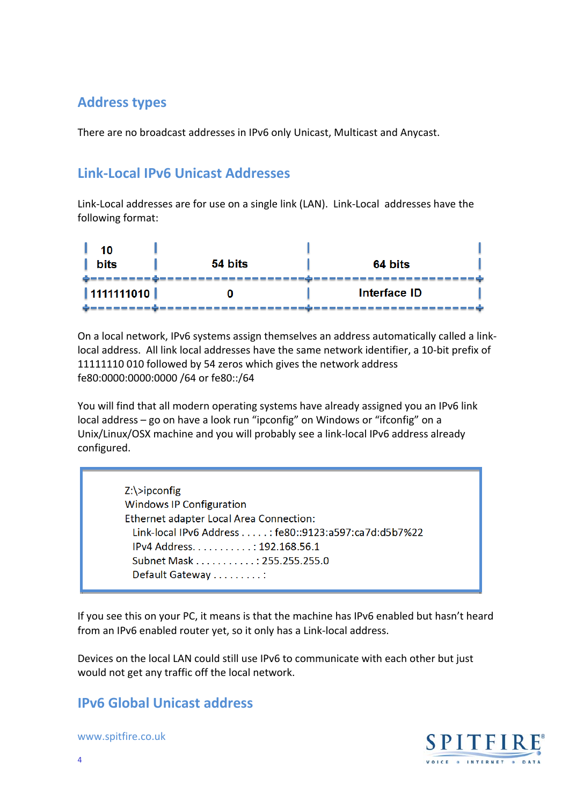## **Address types**

There are no broadcast addresses in IPv6 only Unicast, Multicast and Anycast.

## **Link‐Local IPv6 Unicast Addresses**

Link‐Local addresses are for use on a single link (LAN). Link‐Local addresses have the following format:

| 10<br><b>bits</b> | 54 bits | 64 bits      |
|-------------------|---------|--------------|
| 1111111010        |         | Interface ID |

On a local network, IPv6 systems assign themselves an address automatically called a link‐ local address. All link local addresses have the same network identifier, a 10‐bit prefix of 11111110 010 followed by 54 zeros which gives the network address fe80:0000:0000:0000 /64 or fe80::/64

You will find that all modern operating systems have already assigned you an IPv6 link local address – go on have a look run "ipconfig" on Windows or "ifconfig" on a Unix/Linux/OSX machine and you will probably see a link‐local IPv6 address already configured.

> Z:\>ipconfig Windows IP Configuration Ethernet adapter Local Area Connection: Link‐local IPv6 Address . . . . . : fe80::9123:a597:ca7d:d5b7%22 IPv4 Address. . . . . . . . . . . : 192.168.56.1 Subnet Mask . . . . . . . . . . . : 255.255.255.0 Default Gateway . . . . . . . . . :

If you see this on your PC, it means is that the machine has IPv6 enabled but hasn't heard from an IPv6 enabled router yet, so it only has a Link‐local address.

Devices on the local LAN could still use IPv6 to communicate with each other but just would not get any traffic off the local network.

### **IPv6 Global Unicast address**

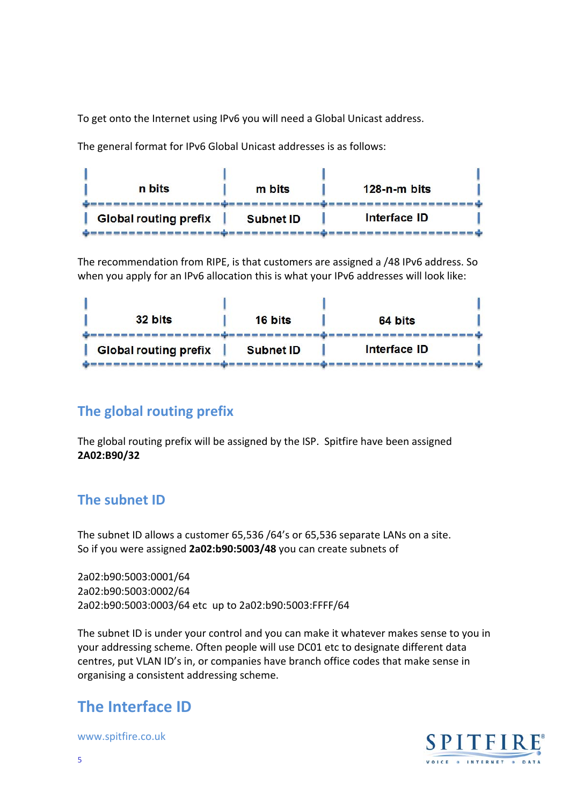To get onto the Internet using IPv6 you will need a Global Unicast address.

The general format for IPv6 Global Unicast addresses is as follows:



The recommendation from RIPE, is that customers are assigned a /48 IPv6 address. So when you apply for an IPv6 allocation this is what your IPv6 addresses will look like:

| <b>Global routing prefix</b> | <b>Subnet ID</b> | <b>Interface ID</b> |  |
|------------------------------|------------------|---------------------|--|
| 32 bits                      | 16 bits          | 64 bits             |  |
|                              |                  |                     |  |

### **The global routing prefix**

The global routing prefix will be assigned by the ISP. Spitfire have been assigned **2A02:B90/32**

#### **The subnet ID**

The subnet ID allows a customer 65,536 /64's or 65,536 separate LANs on a site. So if you were assigned **2a02:b90:5003/48** you can create subnets of

2a02:b90:5003:0001/64 2a02:b90:5003:0002/64 2a02:b90:5003:0003/64 etc up to 2a02:b90:5003:FFFF/64

The subnet ID is under your control and you can make it whatever makes sense to you in your addressing scheme. Often people will use DC01 etc to designate different data centres, put VLAN ID's in, or companies have branch office codes that make sense in organising a consistent addressing scheme.

# **The Interface ID**

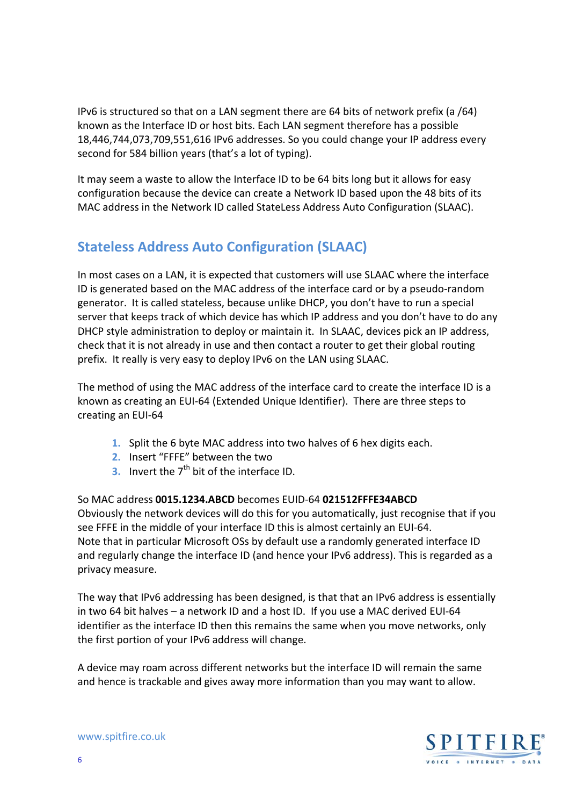IPv6 is structured so that on a LAN segment there are 64 bits of network prefix (a /64) known as the Interface ID or host bits. Each LAN segment therefore has a possible 18,446,744,073,709,551,616 IPv6 addresses. So you could change your IP address every second for 584 billion years (that's a lot of typing).

It may seem a waste to allow the Interface ID to be 64 bits long but it allows for easy configuration because the device can create a Network ID based upon the 48 bits of its MAC address in the Network ID called StateLess Address Auto Configuration (SLAAC).

## **Stateless Address Auto Configuration (SLAAC)**

In most cases on a LAN, it is expected that customers will use SLAAC where the interface ID is generated based on the MAC address of the interface card or by a pseudo‐random generator. It is called stateless, because unlike DHCP, you don't have to run a special server that keeps track of which device has which IP address and you don't have to do any DHCP style administration to deploy or maintain it. In SLAAC, devices pick an IP address, check that it is not already in use and then contact a router to get their global routing prefix. It really is very easy to deploy IPv6 on the LAN using SLAAC.

The method of using the MAC address of the interface card to create the interface ID is a known as creating an EUI‐64 (Extended Unique Identifier). There are three steps to creating an EUI‐64

- **1.** Split the 6 byte MAC address into two halves of 6 hex digits each.
- **2.** Insert "FFFE" between the two
- **3.** Invert the 7<sup>th</sup> bit of the interface ID.

#### So MAC address **0015.1234.ABCD** becomes EUID‐64 **021512FFFE34ABCD**

Obviously the network devices will do this for you automatically, just recognise that if you see FFFE in the middle of your interface ID this is almost certainly an EUI‐64. Note that in particular Microsoft OSs by default use a randomly generated interface ID and regularly change the interface ID (and hence your IPv6 address). This is regarded as a privacy measure.

The way that IPv6 addressing has been designed, is that that an IPv6 address is essentially in two 64 bit halves – a network ID and a host ID. If you use a MAC derived EUI‐64 identifier as the interface ID then this remains the same when you move networks, only the first portion of your IPv6 address will change.

A device may roam across different networks but the interface ID will remain the same and hence is trackable and gives away more information than you may want to allow.

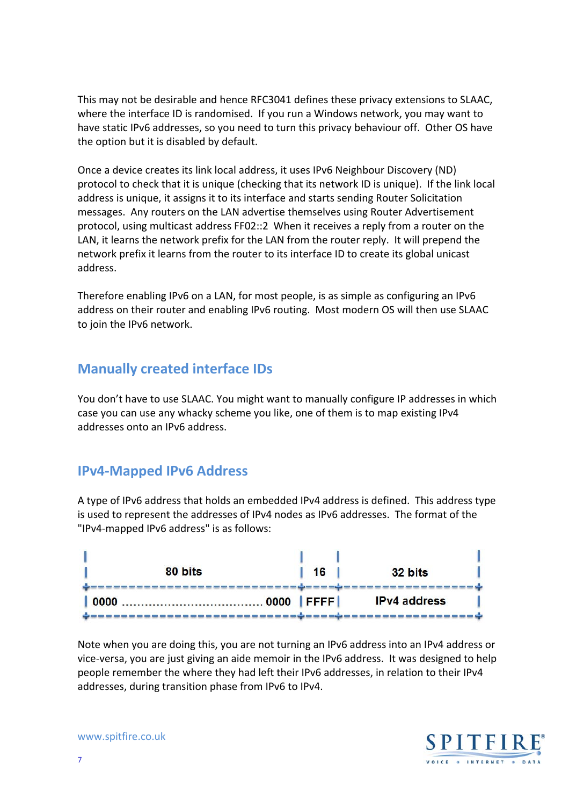This may not be desirable and hence RFC3041 defines these privacy extensions to SLAAC, where the interface ID is randomised. If you run a Windows network, you may want to have static IPv6 addresses, so you need to turn this privacy behaviour off. Other OS have the option but it is disabled by default.

Once a device creates its link local address, it uses IPv6 Neighbour Discovery (ND) protocol to check that it is unique (checking that its network ID is unique). If the link local address is unique, it assigns it to its interface and starts sending Router Solicitation messages. Any routers on the LAN advertise themselves using Router Advertisement protocol, using multicast address FF02::2 When it receives a reply from a router on the LAN, it learns the network prefix for the LAN from the router reply. It will prepend the network prefix it learns from the router to its interface ID to create its global unicast address.

Therefore enabling IPv6 on a LAN, for most people, is as simple as configuring an IPv6 address on their router and enabling IPv6 routing. Most modern OS will then use SLAAC to join the IPv6 network.

### **Manually created interface IDs**

You don't have to use SLAAC. You might want to manually configure IP addresses in which case you can use any whacky scheme you like, one of them is to map existing IPv4 addresses onto an IPv6 address.

#### **IPv4‐Mapped IPv6 Address**

A type of IPv6 address that holds an embedded IPv4 address is defined. This address type is used to represent the addresses of IPv4 nodes as IPv6 addresses. The format of the "IPv4‐mapped IPv6 address" is as follows:

| 80 bits      | 16           | 32 bits             |  |
|--------------|--------------|---------------------|--|
| 0000<br>0000 | $ $ FFFF $ $ | <b>IPv4</b> address |  |

Note when you are doing this, you are not turning an IPv6 address into an IPv4 address or vice‐versa, you are just giving an aide memoir in the IPv6 address. It was designed to help people remember the where they had left their IPv6 addresses, in relation to their IPv4 addresses, during transition phase from IPv6 to IPv4.

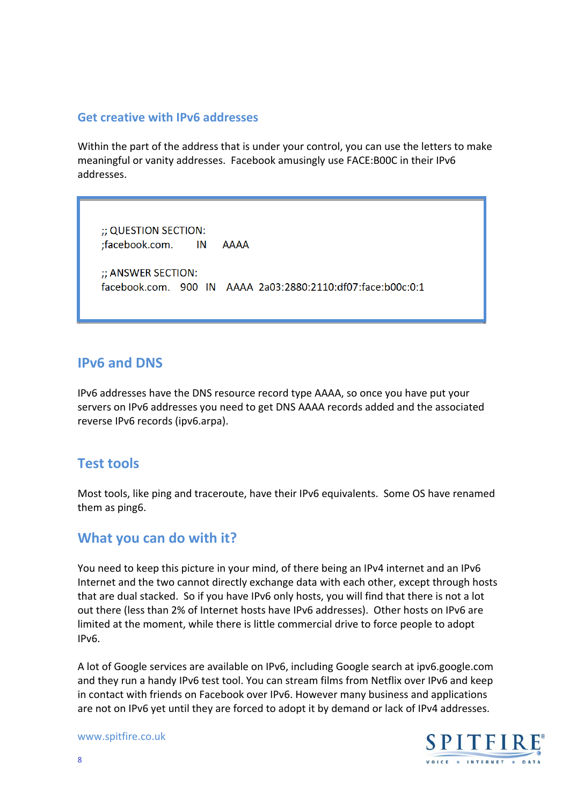#### **Get creative with IPv6 addresses**

Within the part of the address that is under your control, you can use the letters to make meaningful or vanity addresses. Facebook amusingly use FACE:B00C in their IPv6 addresses.

;; QUESTION SECTION: ;facebook.com. IN AAAA ;; ANSWER SECTION: facebook.com. 900 IN AAAA 2a03:2880:2110:df07:face:b00c:0:1

#### **IPv6 and DNS**

IPv6 addresses have the DNS resource record type AAAA, so once you have put your servers on IPv6 addresses you need to get DNS AAAA records added and the associated reverse IPv6 records (ipv6.arpa).

#### **Test tools**

Most tools, like ping and traceroute, have their IPv6 equivalents. Some OS have renamed them as ping6.

#### **What you can do with it?**

You need to keep this picture in your mind, of there being an IPv4 internet and an IPv6 Internet and the two cannot directly exchange data with each other, except through hosts that are dual stacked. So if you have IPv6 only hosts, you will find that there is not a lot out there (less than 2% of Internet hosts have IPv6 addresses). Other hosts on IPv6 are limited at the moment, while there is little commercial drive to force people to adopt IPv6.

A lot of Google services are available on IPv6, including Google search at ipv6.google.com and they run a handy IPv6 test tool. You can stream films from Netflix over IPv6 and keep in contact with friends on Facebook over IPv6. However many business and applications are not on IPv6 yet until they are forced to adopt it by demand or lack of IPv4 addresses.

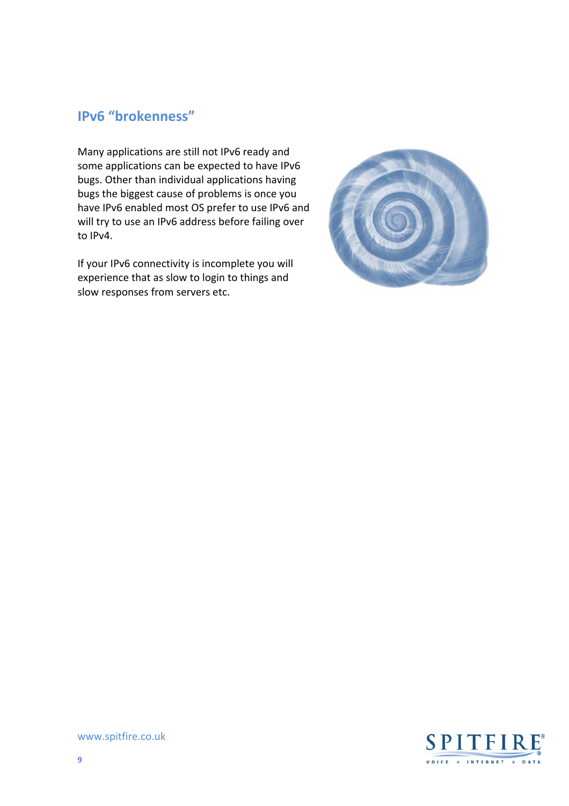## **IPv6 "brokenness"**

Many applications are still not IPv6 ready and some applications can be expected to have IPv6 bugs. Other than individual applications having bugs the biggest cause of problems is once you have IPv6 enabled most OS prefer to use IPv6 and will try to use an IPv6 address before failing over to IPv4.

If your IPv6 connectivity is incomplete you will experience that as slow to login to things and slow responses from servers etc.